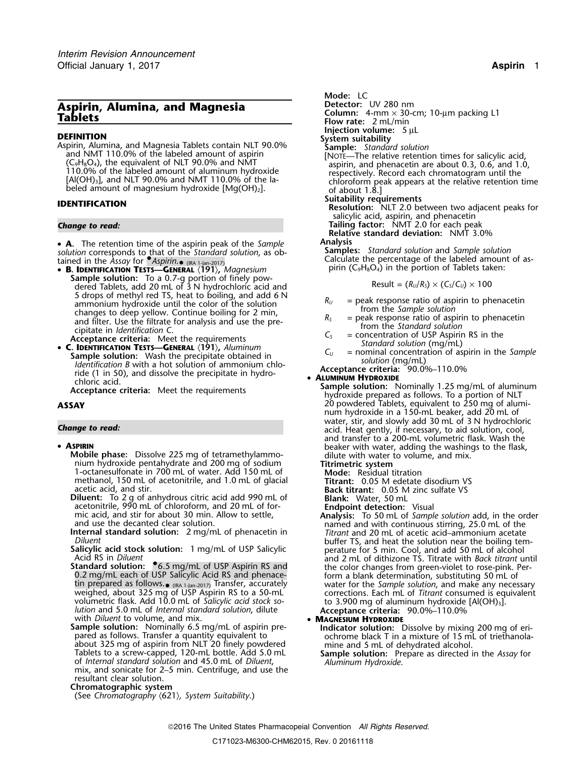# **Aspirin, Alumina, and Magnesia** Detector: UV 280 nm<br> **Tablets** Column: 4-mm × 30-c

**DEFINITION**<br> **System suitability**<br>
Aspirin, Alumina, and Magnesia Tablets contain NLT 90.0% **Sample:** *Standard solution*<br>
MOTE—The relative retention times for salicylic acid,<br>
NOTE—The relative retention times for salic

• **<sup>A</sup> Analysis .** The retention time of the aspirin peak of the *Sample solution* corresponds to that of the *Standard solution*, as ob- **Samples:** *Standard solution* and *Sample solution*

**Sample solution:** To a 0.7-g portion of finely pow-<br>dered Tablets, add 20 mL of 3 N hydrochloric acid and<br>5 drops of methyl red TS, heat to boiling, and add 6 N 5 drops of methyl red TS, heat to boiling, and add 6 N<br>
ammonium hydroxide until the color of the solution<br>
changes to deep yellow. Continue boiling for 2 min,<br>
and filter. Use the filtrate for analysis and use the pre-<br>

• **C. IDENTIFICATION TESTS—GENERAL** (191), Aluminum<br>Sample solution: Wash the precipitate obtained in<br>Identification B with a hot solution of ammonium chlo-<br>Identification B with a hot solution of ammonium chloride (1 in 50), and dissolve the precipitate in hydro- **Acceptance criteria:** 90.0%–110.0% • **<sup>A</sup>LUMINUM HYDROXIDE** chloric acid.

## **• ASPIRIN**

- **SPIRIN**<br>
Mobile phase: Dissolve 225 mg of tetramethylammo-<br>
nium hydroxide pentahydrate and 200 mg of sodium<br>
1-octanesulfonate in 700 mL of water. Add 150 mL of **Titrimetric system**<br>
1-octanesulfonate in 700 mL of water. methanol, 150 mL of acetonitrile, and 1.0 mL of glacial **Titrant:** 0.05 M edetate disodium VS acetic acid, and stir. **Back titrant:** 0.05 M zinc sulfate VS
- **Diluent:** To 2 g of anhydrous citric acid add 990 mL of **Blank:** Water, 50 mL<br>**Diluent:** To 2 g of anhydrous citric acid add 990 mL of **Blank:** Water, 50 mL<br>acetonitrile, 990 mL of chloroform, and 20 mL of for-<br>**Endpoint**
- 
- 
- Fin prepared as follows.<br>
In prepared as follows.<br>
In prepared as follows.<br>
weighed, about 325 mg of USP Aspirin RS to a 50-mL<br>
weighed, about 325 mg of USP Aspirin RS to a 50-mL<br>
volumetric flask. Add 10.0 mL of *Salicyli* with *Diluent* to volume, and mix.
- **Sample solution:** Nominally 6.5 mg/mL of aspirin pre- **Indicator solution:** Dissolve by mixing 200 mg of eri pared as follows. Transfer a quantity equivalent to same ochrome black T in a mixture of 15 mL of triethanolaabout 325 mg of aspirin from NLT 20 finely powdered<br>
Tablets to a screw-capped, 120-mL bottle. Add 5.0 mL<br>
Tablets to a screw-capped, 120-mL bottle. Add 5.0 mL<br>
Sample solution: Prepare as directed in the *Assay* for<br> *Alu* of *Internal standard solution* and 45.0 mL of *Diluent*, *Aluminum Hydroxide*. mix, and sonicate for 2–5 min. Centrifuge, and use the resultant clear solution.

**Chromatographic system**

(See *Chromatography* 〈621〉*, System Suitability*.)

```
Mode: LC
```
**Column:** 4-mm × 30-cm; 10-µm packing L1 **Tablets Flow rate:**<sup>2</sup> mL/min

**Injection volume:** 5 µL<br>System suitability

- 
- $(C_9H_8O_4)$ , the equivalent of NLT 90.0% and NMT<br>
110.0% of the labeled amount of aluminum hydroxide<br>
[Al(OH)<sub>3</sub>], and NLT 90.0% and NMT 110.0% of the la-<br>
beled amount of magnesium hydroxide [Mg(OH)<sub>2</sub>].<br> **ENTIEICATION** 
	-

**Suitability requirements IDENTIFICATION Resolution:** NLT 2.0 between two adjacent peaks for salicylic acid, aspirin, and phenacetin

*Change to read:* **Tailing factor:** NMT 2.0 for each peak **Relative standard deviation:** NMT 3.0%

Calculate the percentage of the labeled amount of as- tained in the *Assay* for •.*Aspirin*. • (IRA 1-Jan-2017) • **<sup>B</sup>** <sup>p</sup>irin (C9H8O4) in the portion of Tablets taken: **. IDENTIFICATION TESTS—GENERAL** 〈**191**〉**,** *Magnesium*

$$
Result = (R_U/R_S) \times (C_S/C_U) \times 100
$$

- 
- 
- 
- 
- 

chloric acid.<br>**Acceptance criteria:** Meet the requirements **Sample solution:** Nominally 1.25 mg/mL of aluminum hydroxide prepared as follows. To a portion of NLT **ASSAY** 20 powdered Tablets, equivalent to 250 mg of aluminum hydroxide in a 150-mL beaker, add 20 mL of water, stir, and slowly add 30 mL of 3 N hydrochloric *Change to read:* acid. Heat gently, if necessary, to aid solution, cool, and transfer to a 200-mL volumetric flask. Wash the

mic acid, and stir for about 30 min. Allow to settle,<br>and use the decanted clear solution.<br>Internal standard solution: 2 mg/mL of phenacetin in<br>Diluent<br>Diluent<br>Diluent<br>Diluent Diluent<br>**Salicylic acid stock solution:** 1 mg/mL of USP Salicylic buffer TS, and heat the solution near the boiling tem-<br>Acid RS in Diluent<br>Acid RS in Diluent<br>Acid RS in Diluent Standard solution:  $\bullet$  6.5 mg/mL of USP Aspirin RS and<br>0.2 mg/mL each of USP Salicylic Acid RS and phenace-<br>0.2 mg/mL each of USP Salicylic Acid RS and phenace-<br>tin prepared as follows.<br> $\bullet$  (RA 1-Jan-2017) Transfer, acc